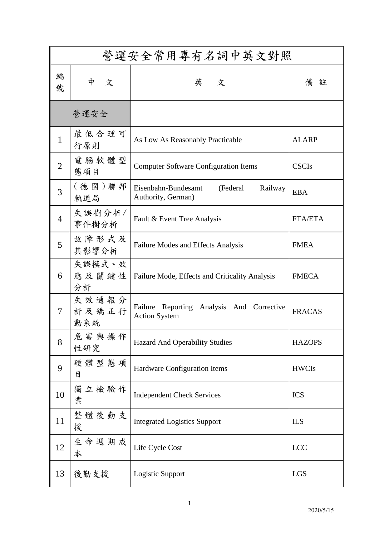| 營運安全常用專有名詞中英文對照 |                       |                                                                      |                |  |
|-----------------|-----------------------|----------------------------------------------------------------------|----------------|--|
| 編<br>號          | 中<br>文                | 英 文                                                                  | 備註             |  |
| 營運安全            |                       |                                                                      |                |  |
| $\mathbf{1}$    | 最低合理可<br>行原則          | As Low As Reasonably Practicable                                     | <b>ALARP</b>   |  |
| $\overline{2}$  | 電腦軟體型<br>態項目          | <b>Computer Software Configuration Items</b>                         | <b>CSCIs</b>   |  |
| 3               | (德國)聯邦<br>軌道局         | Eisenbahn-Bundesamt<br>Railway<br>(Federal<br>Authority, German)     | <b>EBA</b>     |  |
| $\overline{4}$  | 失誤樹分析/<br>事件樹分析       | Fault & Event Tree Analysis                                          | <b>FTA/ETA</b> |  |
| 5               | 故障形式及<br>其影響分析        | Failure Modes and Effects Analysis                                   | <b>FMEA</b>    |  |
| 6               | 失誤模式、效<br>應及關鍵性<br>分析 | Failure Mode, Effects and Criticality Analysis                       | <b>FMECA</b>   |  |
| 7               | 失效通報分<br>析及矯正行<br>動系統 | Failure Reporting<br>Analysis And Corrective<br><b>Action System</b> | <b>FRACAS</b>  |  |
| 8               | 危害與操作<br>性研究          | <b>Hazard And Operability Studies</b>                                | <b>HAZOPS</b>  |  |
| 9               | 硬體型態項<br>目            | Hardware Configuration Items                                         | <b>HWCIs</b>   |  |
| 10              | 獨立檢驗作<br>業            | <b>Independent Check Services</b>                                    | <b>ICS</b>     |  |
| 11              | 整體後勤支<br>援            | <b>Integrated Logistics Support</b>                                  | <b>ILS</b>     |  |
| 12              | 生命週期成<br>本            | Life Cycle Cost                                                      | <b>LCC</b>     |  |
| 13              | 後勤支援                  | Logistic Support                                                     | LGS            |  |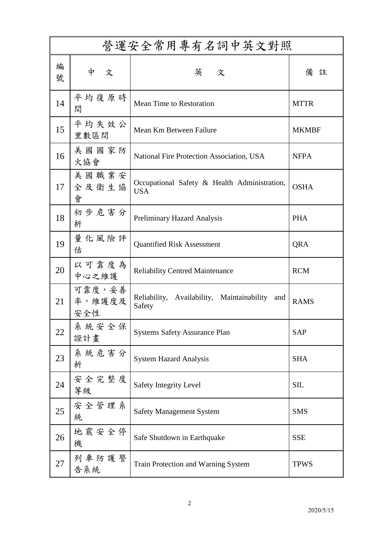| 營運安全常用專有名詞中英文對照 |                         |                                                             |              |  |
|-----------------|-------------------------|-------------------------------------------------------------|--------------|--|
| 編<br>號          | 中<br>文                  | 英 文                                                         | 備<br>註       |  |
| 14              | 平均復原時<br>間              | Mean Time to Restoration                                    | <b>MTTR</b>  |  |
| 15              | 平均失效公<br>里數區間           | Mean Km Between Failure                                     | <b>MKMBF</b> |  |
| 16              | 美國國家防<br>火協會            | National Fire Protection Association, USA                   | <b>NFPA</b>  |  |
| 17              | 美國職業安<br>全及衛生協<br>會     | Occupational Safety & Health Administration,<br><b>USA</b>  | <b>OSHA</b>  |  |
| 18              | 初步危害分<br>析              | Preliminary Hazard Analysis                                 | <b>PHA</b>   |  |
| 19              | 量化風險評<br>估              | <b>Quantified Risk Assessment</b>                           | QRA          |  |
| 20              | 以可靠度為<br>中心之維護          | <b>Reliability Centred Maintenance</b>                      | <b>RCM</b>   |  |
| 21              | 可靠度,妥善<br>率,維護度及<br>安全性 | Reliability, Availability, Maintainability<br>and<br>Safety | <b>RAMS</b>  |  |
| 22              | 系統安全保<br>證計畫            | <b>Systems Safety Assurance Plan</b>                        | <b>SAP</b>   |  |
| 23              | 系統危害分<br>析              | <b>System Hazard Analysis</b>                               | <b>SHA</b>   |  |
| 24              | 安全完整度<br>等級             | <b>Safety Integrity Level</b>                               | <b>SIL</b>   |  |
| 25              | 安全管理系<br>統              | <b>Safety Management System</b>                             | <b>SMS</b>   |  |
| 26              | 地震安全停<br>機              | Safe Shutdown in Earthquake                                 | <b>SSE</b>   |  |
| 27              | 列車防護警<br>告系統            | Train Protection and Warning System                         | <b>TPWS</b>  |  |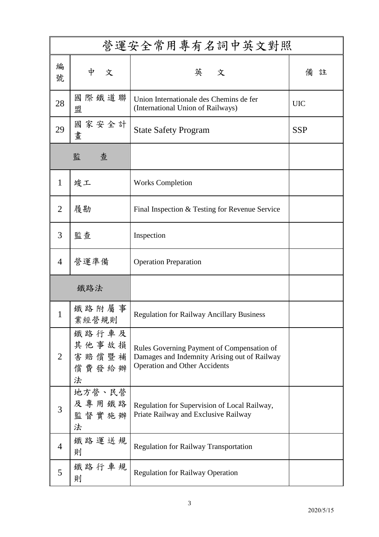| 營運安全常用專有名詞中英文對照 |                                       |                                                                                                                                    |            |  |
|-----------------|---------------------------------------|------------------------------------------------------------------------------------------------------------------------------------|------------|--|
| 編<br>號          | 中<br>文                                | 英 文                                                                                                                                | 備<br>註     |  |
| 28              | 國際鐵道聯<br>盟                            | Union Internationale des Chemins de fer<br>(International Union of Railways)                                                       | <b>UIC</b> |  |
| 29              | 國家安全計<br>畫                            | <b>State Safety Program</b>                                                                                                        | <b>SSP</b> |  |
|                 | 監<br>查                                |                                                                                                                                    |            |  |
| $\mathbf{1}$    | 竣工                                    | <b>Works Completion</b>                                                                                                            |            |  |
| $\overline{2}$  | 履勘                                    | Final Inspection & Testing for Revenue Service                                                                                     |            |  |
| 3               | 監查                                    | Inspection                                                                                                                         |            |  |
| $\overline{4}$  | 營運準備                                  | <b>Operation Preparation</b>                                                                                                       |            |  |
|                 | 鐵路法                                   |                                                                                                                                    |            |  |
| 1               | 鐵路附屬事<br>業經營規則                        | <b>Regulation for Railway Ancillary Business</b>                                                                                   |            |  |
| $\overline{2}$  | 鐵路行車及<br>其他事故損<br>害賠償暨補<br>償費發給辦<br>法 | Rules Governing Payment of Compensation of<br>Damages and Indemnity Arising out of Railway<br><b>Operation and Other Accidents</b> |            |  |
| 3               | 地方營、民營<br>及專用鐵路<br>監督實施辦<br>法         | Regulation for Supervision of Local Railway,<br>Priate Railway and Exclusive Railway                                               |            |  |
| $\overline{4}$  | 鐵路運送規<br>則                            | <b>Regulation for Railway Transportation</b>                                                                                       |            |  |
| 5               | 鐵路行車規<br>則                            | <b>Regulation for Railway Operation</b>                                                                                            |            |  |